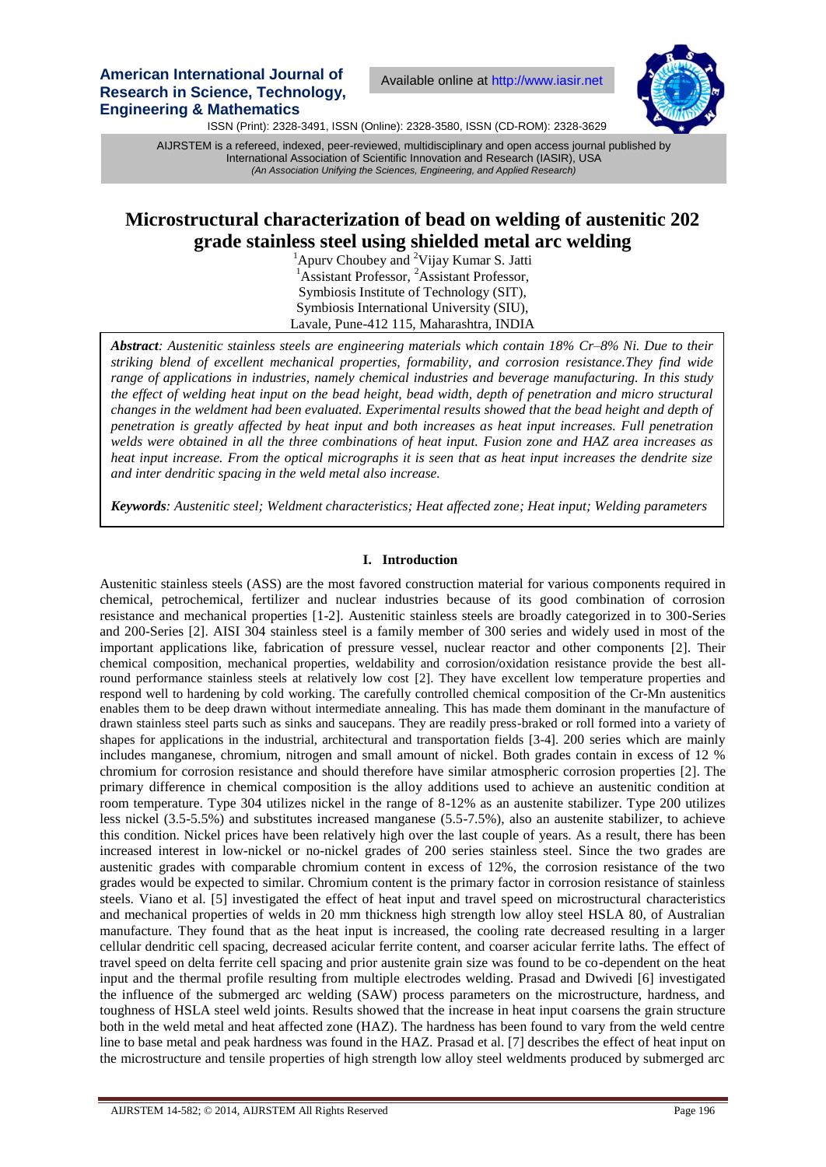**American International Journal of Research in Science, Technology, Engineering & Mathematics**

Available online at http://www.iasir.net



ISSN (Print): 2328-3491, ISSN (Online): 2328-3580, ISSN (CD-ROM): 2328-3629

 International Association of Scientific Innovation and Research (IASIR), USA AIJRSTEM is a refereed, indexed, peer-reviewed, multidisciplinary and open access journal published by *(An Association Unifying the Sciences, Engineering, and Applied Research)*

# **Microstructural characterization of bead on welding of austenitic 202 grade stainless steel using shielded metal arc welding**

 ${}^{1}$ Apurv Choubey and <sup>2</sup>Vijay Kumar S. Jatti <sup>1</sup>Assistant Professor, <sup>2</sup>Assistant Professor, Symbiosis Institute of Technology (SIT), Symbiosis International University (SIU), Lavale, Pune-412 115, Maharashtra, INDIA

*Abstract: Austenitic stainless steels are engineering materials which contain 18% Cr–8% Ni. Due to their striking blend of excellent mechanical properties, formability, and corrosion resistance.They find wide range of applications in industries, namely chemical industries and beverage manufacturing. In this study the effect of welding heat input on the bead height, bead width, depth of penetration and micro structural changes in the weldment had been evaluated. Experimental results showed that the bead height and depth of penetration is greatly affected by heat input and both increases as heat input increases. Full penetration welds were obtained in all the three combinations of heat input. Fusion zone and HAZ area increases as heat input increase. From the optical micrographs it is seen that as heat input increases the dendrite size and inter dendritic spacing in the weld metal also increase.*

*Keywords: Austenitic steel; Weldment characteristics; Heat affected zone; Heat input; Welding parameters*

## **I. Introduction**

Austenitic stainless steels (ASS) are the most favored construction material for various components required in chemical, petrochemical, fertilizer and nuclear industries because of its good combination of corrosion resistance and mechanical properties [1-2]. Austenitic stainless steels are broadly categorized in to 300-Series and 200-Series [2]. AISI 304 stainless steel is a family member of 300 series and widely used in most of the important applications like, fabrication of pressure vessel, nuclear reactor and other components [2]. Their chemical composition, mechanical properties, weldability and corrosion/oxidation resistance provide the best allround performance stainless steels at relatively low cost [2]. They have excellent low temperature properties and respond well to hardening by cold working. The carefully controlled chemical composition of the Cr-Mn austenitics enables them to be deep drawn without intermediate annealing. This has made them dominant in the manufacture of drawn stainless steel parts such as sinks and saucepans. They are readily press-braked or roll formed into a variety of shapes for applications in the industrial, architectural and transportation fields [3-4]. 200 series which are mainly includes manganese, chromium, nitrogen and small amount of nickel. Both grades contain in excess of 12 % chromium for corrosion resistance and should therefore have similar atmospheric corrosion properties [2]. The primary difference in chemical composition is the alloy additions used to achieve an austenitic condition at room temperature. Type 304 utilizes nickel in the range of 8-12% as an austenite stabilizer. Type 200 utilizes less nickel (3.5-5.5%) and substitutes increased manganese (5.5-7.5%), also an austenite stabilizer, to achieve this condition. Nickel prices have been relatively high over the last couple of years. As a result, there has been increased interest in low-nickel or no-nickel grades of 200 series stainless steel. Since the two grades are austenitic grades with comparable chromium content in excess of 12%, the corrosion resistance of the two grades would be expected to similar. Chromium content is the primary factor in corrosion resistance of stainless steels. Viano et al. [5] investigated the effect of heat input and travel speed on microstructural characteristics and mechanical properties of welds in 20 mm thickness high strength low alloy steel HSLA 80, of Australian manufacture. They found that as the heat input is increased, the cooling rate decreased resulting in a larger cellular dendritic cell spacing, decreased acicular ferrite content, and coarser acicular ferrite laths. The effect of travel speed on delta ferrite cell spacing and prior austenite grain size was found to be co-dependent on the heat input and the thermal profile resulting from multiple electrodes welding. Prasad and Dwivedi [6] investigated the influence of the submerged arc welding (SAW) process parameters on the microstructure, hardness, and toughness of HSLA steel weld joints. Results showed that the increase in heat input coarsens the grain structure both in the weld metal and heat affected zone (HAZ). The hardness has been found to vary from the weld centre line to base metal and peak hardness was found in the HAZ. Prasad et al. [7] describes the effect of heat input on the microstructure and tensile properties of high strength low alloy steel weldments produced by submerged arc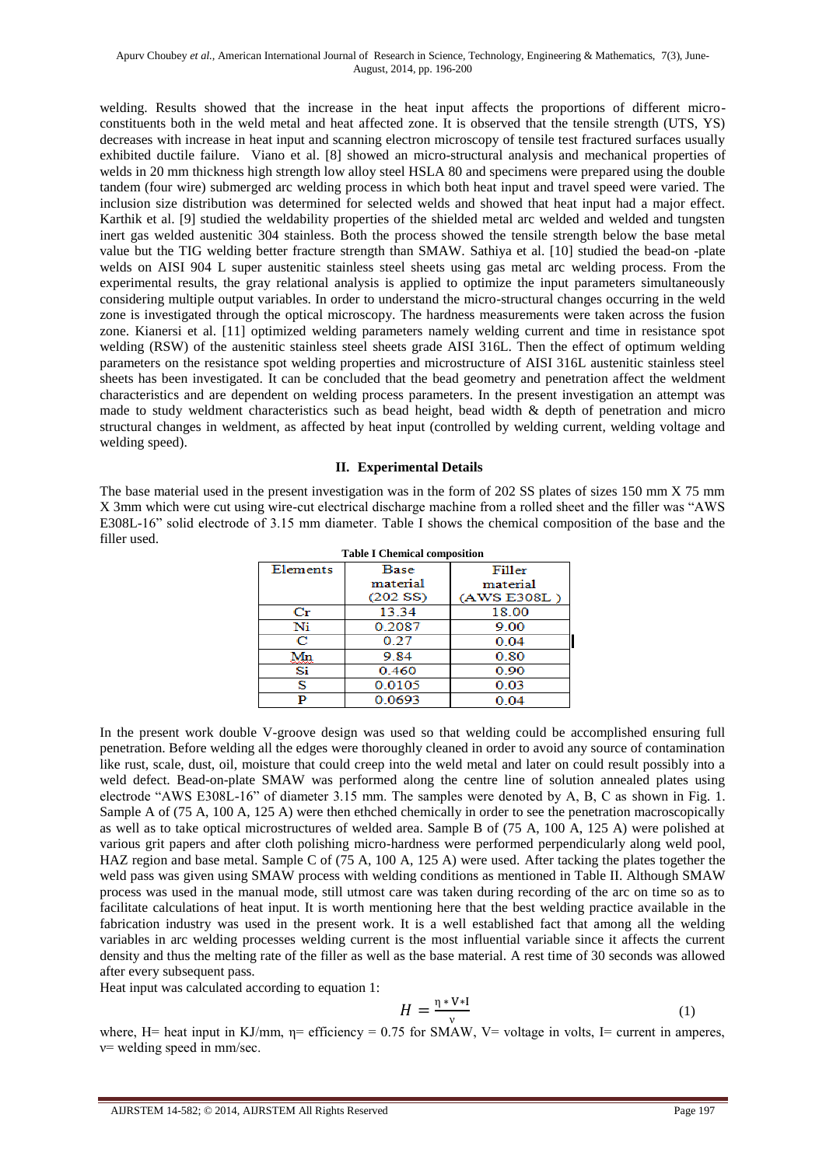welding. Results showed that the increase in the heat input affects the proportions of different microconstituents both in the weld metal and heat affected zone. It is observed that the tensile strength (UTS, YS) decreases with increase in heat input and scanning electron microscopy of tensile test fractured surfaces usually exhibited ductile failure. Viano et al. [8] showed an micro-structural analysis and mechanical properties of welds in 20 mm thickness high strength low alloy steel HSLA 80 and specimens were prepared using the double tandem (four wire) submerged arc welding process in which both heat input and travel speed were varied. The inclusion size distribution was determined for selected welds and showed that heat input had a major effect. Karthik et al. [9] studied the weldability properties of the shielded metal arc welded and welded and tungsten inert gas welded austenitic 304 stainless. Both the process showed the tensile strength below the base metal value but the TIG welding better fracture strength than SMAW. Sathiya et al. [10] studied the bead-on -plate welds on AISI 904 L super austenitic stainless steel sheets using gas metal arc welding process. From the experimental results, the gray relational analysis is applied to optimize the input parameters simultaneously considering multiple output variables. In order to understand the micro-structural changes occurring in the weld zone is investigated through the optical microscopy. The hardness measurements were taken across the fusion zone. Kianersi et al. [11] optimized welding parameters namely welding current and time in resistance spot welding (RSW) of the austenitic stainless steel sheets grade AISI 316L. Then the effect of optimum welding parameters on the resistance spot welding properties and microstructure of AISI 316L austenitic stainless steel sheets has been investigated. It can be concluded that the bead geometry and penetration affect the weldment characteristics and are dependent on welding process parameters. In the present investigation an attempt was made to study weldment characteristics such as bead height, bead width & depth of penetration and micro structural changes in weldment, as affected by heat input (controlled by welding current, welding voltage and welding speed).

# **II. Experimental Details**

The base material used in the present investigation was in the form of 202 SS plates of sizes 150 mm X 75 mm X 3mm which were cut using wire-cut electrical discharge machine from a rolled sheet and the filler was "AWS E308L-16" solid electrode of 3.15 mm diameter. Table I shows the chemical composition of the base and the filler used. **Table I Chemical composition**

| тарле т спенисат сопіромион |             |             |  |  |
|-----------------------------|-------------|-------------|--|--|
| Elements                    | <b>Base</b> | Filler      |  |  |
|                             | material    | material    |  |  |
|                             | (202 S)     | (AWS E308L) |  |  |
| $_{\rm Cr}$                 | 13.34       | 18.00       |  |  |
| Ni                          | 0.2087      | 9.00        |  |  |
| с                           | 0.27        | 0.04        |  |  |
| Mn                          | 9.84        | 0.80        |  |  |
| Si                          | 0.460       | 0.90        |  |  |
| s                           | 0.0105      | 0.03        |  |  |
| D                           | 0.0693      | 0.04        |  |  |
|                             |             |             |  |  |

In the present work double V-groove design was used so that welding could be accomplished ensuring full penetration. Before welding all the edges were thoroughly cleaned in order to avoid any source of contamination like rust, scale, dust, oil, moisture that could creep into the weld metal and later on could result possibly into a weld defect. Bead-on-plate SMAW was performed along the centre line of solution annealed plates using electrode "AWS E308L-16" of diameter 3.15 mm. The samples were denoted by A, B, C as shown in Fig. 1. Sample A of (75 A, 100 A, 125 A) were then ethched chemically in order to see the penetration macroscopically as well as to take optical microstructures of welded area. Sample B of (75 A, 100 A, 125 A) were polished at various grit papers and after cloth polishing micro-hardness were performed perpendicularly along weld pool, HAZ region and base metal. Sample C of (75 A, 100 A, 125 A) were used. After tacking the plates together the weld pass was given using SMAW process with welding conditions as mentioned in Table II. Although SMAW process was used in the manual mode, still utmost care was taken during recording of the arc on time so as to facilitate calculations of heat input. It is worth mentioning here that the best welding practice available in the fabrication industry was used in the present work. It is a well established fact that among all the welding variables in arc welding processes welding current is the most influential variable since it affects the current density and thus the melting rate of the filler as well as the base material. A rest time of 30 seconds was allowed after every subsequent pass.

Heat input was calculated according to equation 1:

$$
H = \frac{\eta * V * I}{v} \tag{1}
$$

where, H= heat input in KJ/mm,  $\eta$ = efficiency = 0.75 for SMAW, V= voltage in volts, I= current in amperes,  $v$  = welding speed in mm/sec.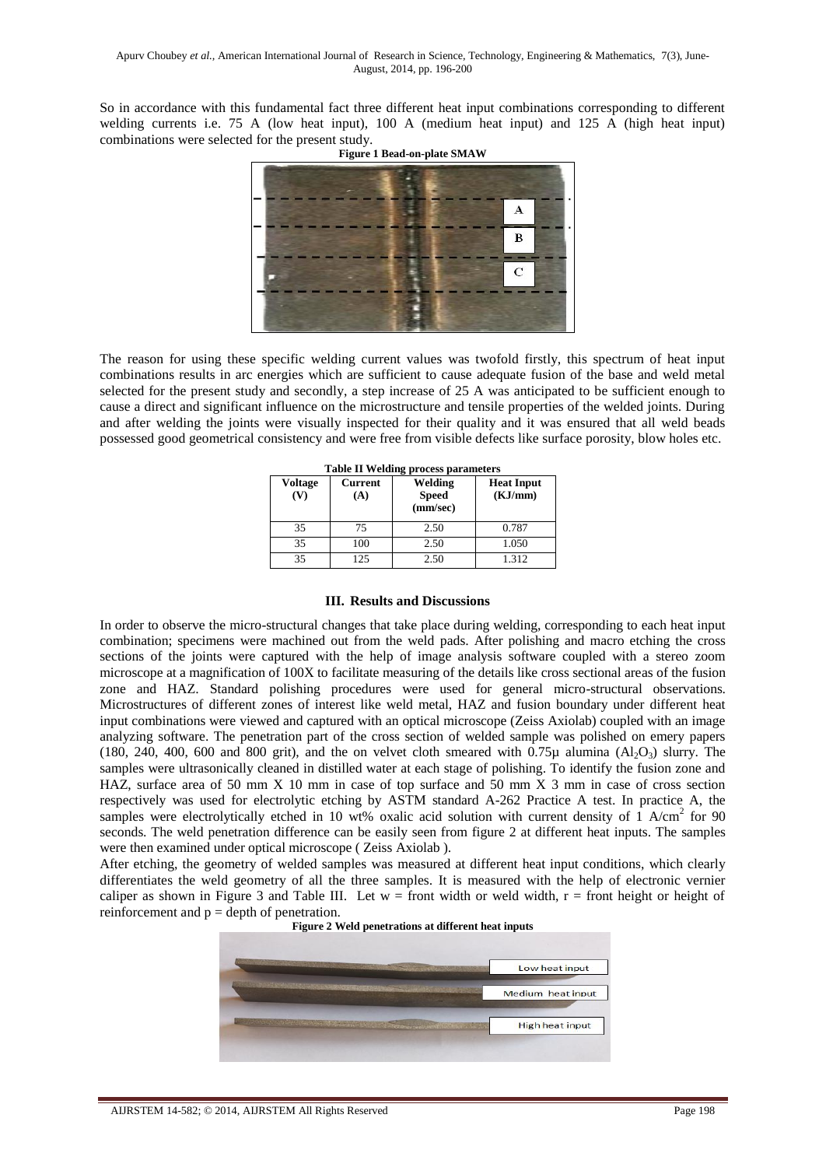So in accordance with this fundamental fact three different heat input combinations corresponding to different welding currents i.e. 75 A (low heat input), 100 A (medium heat input) and 125 A (high heat input) combinations were selected for the present study.



The reason for using these specific welding current values was twofold firstly, this spectrum of heat input combinations results in arc energies which are sufficient to cause adequate fusion of the base and weld metal selected for the present study and secondly, a step increase of 25 A was anticipated to be sufficient enough to cause a direct and significant influence on the microstructure and tensile properties of the welded joints. During and after welding the joints were visually inspected for their quality and it was ensured that all weld beads possessed good geometrical consistency and were free from visible defects like surface porosity, blow holes etc.

| <b>Voltage</b><br>(V) | <b>Current</b><br>(A) | Welding<br><b>Speed</b><br>(mm/sec) | <b>Heat Input</b><br>(KJ/mm) |
|-----------------------|-----------------------|-------------------------------------|------------------------------|
| 35                    | 75                    | 2.50                                | 0.787                        |
| 35                    | 100                   | 2.50                                | 1.050                        |
| 35                    | 125                   | 2.50                                | 1.312                        |

**Table II Welding process parameters** 

## **III. Results and Discussions**

In order to observe the micro-structural changes that take place during welding, corresponding to each heat input combination; specimens were machined out from the weld pads. After polishing and macro etching the cross sections of the joints were captured with the help of image analysis software coupled with a stereo zoom microscope at a magnification of 100X to facilitate measuring of the details like cross sectional areas of the fusion zone and HAZ. Standard polishing procedures were used for general micro-structural observations. Microstructures of different zones of interest like weld metal, HAZ and fusion boundary under different heat input combinations were viewed and captured with an optical microscope (Zeiss Axiolab) coupled with an image analyzing software. The penetration part of the cross section of welded sample was polished on emery papers (180, 240, 400, 600 and 800 grit), and the on velvet cloth smeared with 0.75 $\mu$  alumina (Al<sub>2</sub>O<sub>3</sub>) slurry. The samples were ultrasonically cleaned in distilled water at each stage of polishing. To identify the fusion zone and HAZ, surface area of 50 mm X 10 mm in case of top surface and 50 mm X 3 mm in case of cross section respectively was used for electrolytic etching by ASTM standard A-262 Practice A test. In practice A, the samples were electrolytically etched in 10 wt% oxalic acid solution with current density of  $1$  A/cm<sup>2</sup> for 90 seconds. The weld penetration difference can be easily seen from figure 2 at different heat inputs. The samples were then examined under optical microscope ( Zeiss Axiolab ).

After etching, the geometry of welded samples was measured at different heat input conditions, which clearly differentiates the weld geometry of all the three samples. It is measured with the help of electronic vernier caliper as shown in Figure 3 and Table III. Let  $w =$  front width or weld width,  $r =$  front height or height of reinforcement and  $p =$  depth of penetration.



**Figure 2 Weld penetrations at different heat inputs**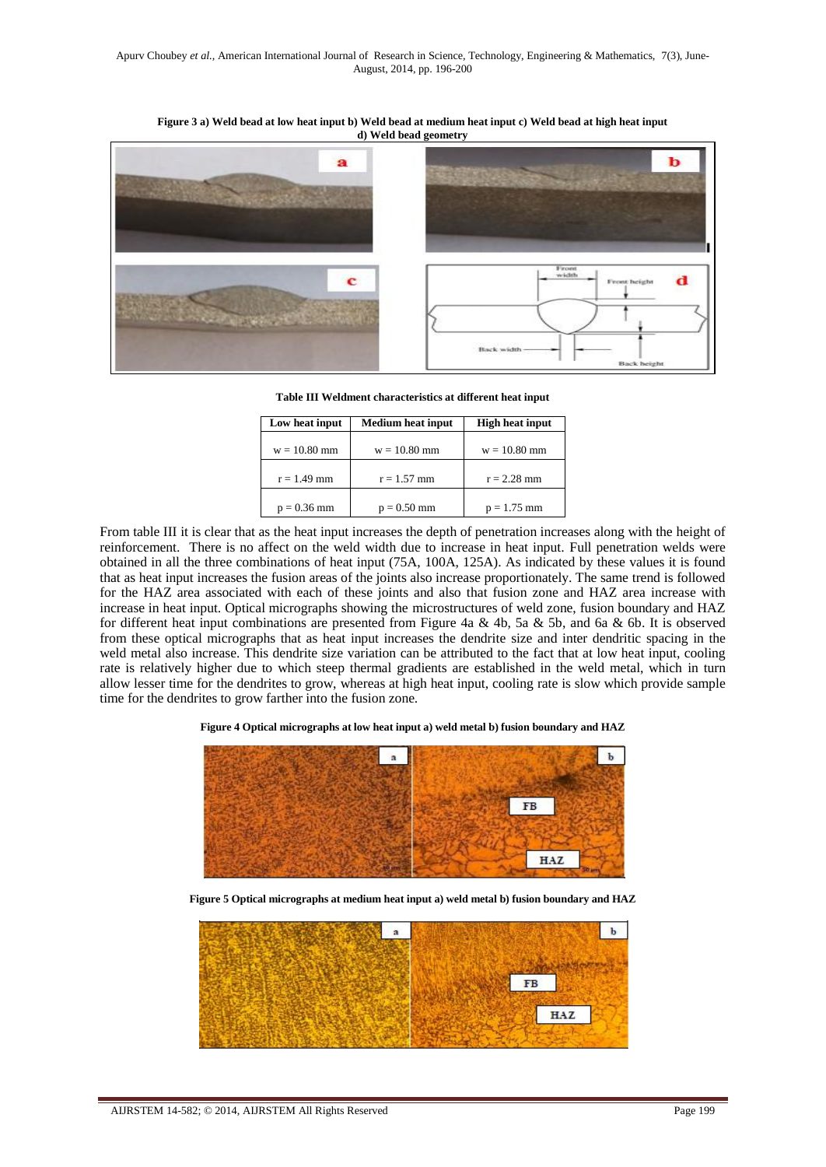**Figure 3 a) Weld bead at low heat input b) Weld bead at medium heat input c) Weld bead at high heat input d) Weld bead geometry**



**Table III Weldment characteristics at different heat input** 

| Low heat input | Medium heat input | <b>High heat input</b> |
|----------------|-------------------|------------------------|
| $w = 10.80$ mm | $w = 10.80$ mm    | $w = 10.80$ mm         |
| $r = 1.49$ mm  | $r = 1.57$ mm     | $r = 2.28$ mm          |
| $p = 0.36$ mm  | $p = 0.50$ mm     | $p = 1.75$ mm          |

From table III it is clear that as the heat input increases the depth of penetration increases along with the height of reinforcement. There is no affect on the weld width due to increase in heat input. Full penetration welds were obtained in all the three combinations of heat input (75A, 100A, 125A). As indicated by these values it is found that as heat input increases the fusion areas of the joints also increase proportionately. The same trend is followed for the HAZ area associated with each of these joints and also that fusion zone and HAZ area increase with increase in heat input. Optical micrographs showing the microstructures of weld zone, fusion boundary and HAZ for different heat input combinations are presented from Figure 4a & 4b, 5a & 5b, and 6a & 6b. It is observed from these optical micrographs that as heat input increases the dendrite size and inter dendritic spacing in the weld metal also increase. This dendrite size variation can be attributed to the fact that at low heat input, cooling rate is relatively higher due to which steep thermal gradients are established in the weld metal, which in turn allow lesser time for the dendrites to grow, whereas at high heat input, cooling rate is slow which provide sample time for the dendrites to grow farther into the fusion zone.

**Figure 4 Optical micrographs at low heat input a) weld metal b) fusion boundary and HAZ** 



**Figure 5 Optical micrographs at medium heat input a) weld metal b) fusion boundary and HAZ**